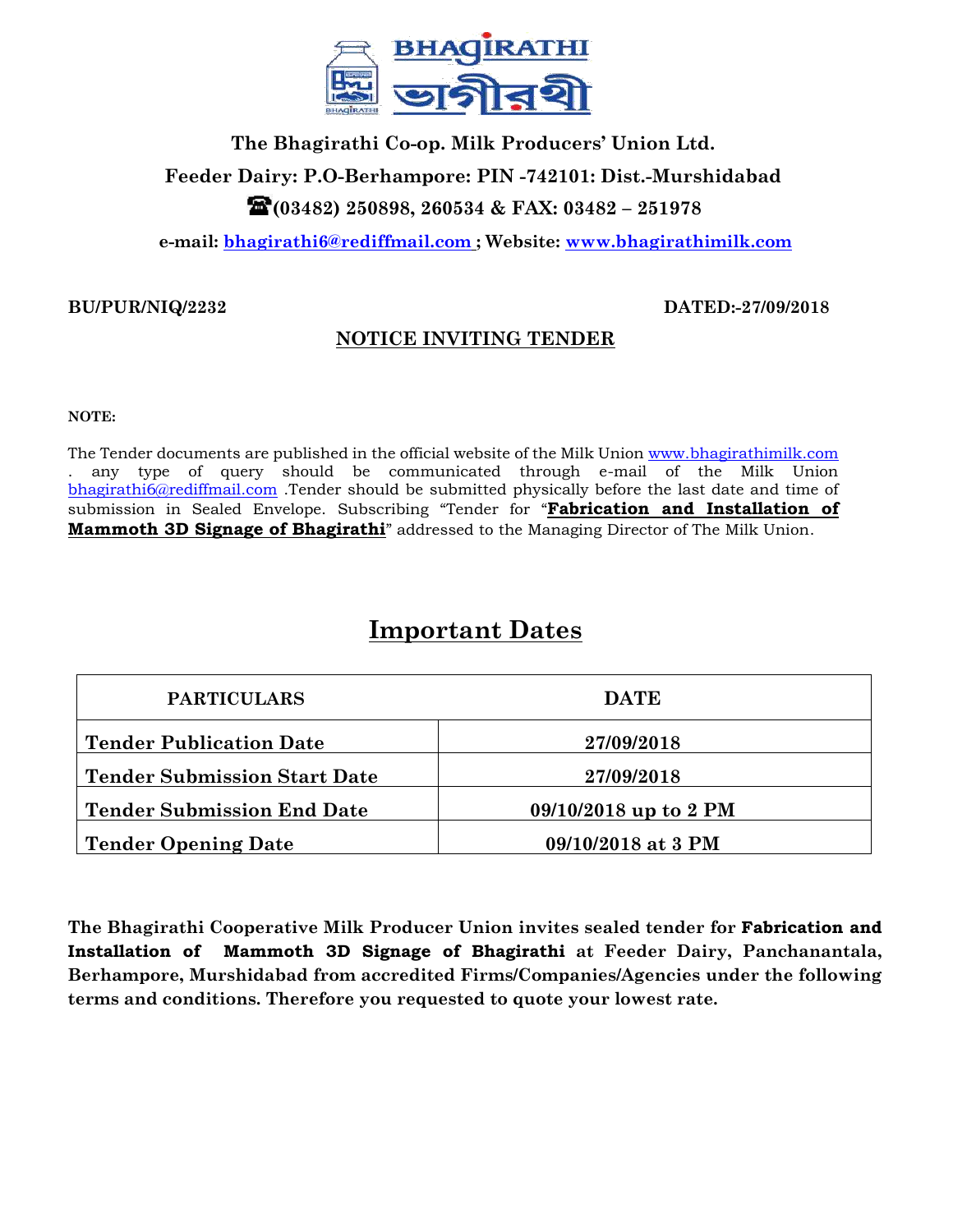

# **The Bhagirathi Co-op. Milk Producers' Union Ltd. Feeder Dairy: P.O-Berhampore: PIN -742101: Dist.-Murshidabad (03482) 250898, 260534 & FAX: 03482 – 251978**

**e-mail: [bhagirathi6@rediffmail.com](mailto:bhagirathi6@rediffmail.com) ; Website: [www.bhagirathimilk.com](http://www.bhagirathimilk.com/)**

## **BU/PUR/NIQ/2232 DATED:-27/09/2018**

# **NOTICE INVITING TENDER**

### **NOTE:**

The Tender documents are published in the official website of the Milk Union [www.bhagirathimilk.com](http://www.bhagirathimilk.com/) . any type of query should be communicated through e-mail of the Milk Union [bhagirathi6@rediffmail.com](mailto:bhagirathi6@rediffmail.com) .Tender should be submitted physically before the last date and time of submission in Sealed Envelope. Subscribing "Tender for "**Fabrication and Installation of Mammoth 3D Signage of Bhagirathi**" addressed to the Managing Director of The Milk Union.

# **Important Dates**

| <b>PARTICULARS</b>                  | <b>DATE</b>           |  |
|-------------------------------------|-----------------------|--|
| <b>Tender Publication Date</b>      | 27/09/2018            |  |
| <b>Tender Submission Start Date</b> | 27/09/2018            |  |
| <b>Tender Submission End Date</b>   | 09/10/2018 up to 2 PM |  |
| Tender Opening Date                 | 09/10/2018 at 3 PM    |  |

**The Bhagirathi Cooperative Milk Producer Union invites sealed tender for Fabrication and Installation of Mammoth 3D Signage of Bhagirathi at Feeder Dairy, Panchanantala, Berhampore, Murshidabad from accredited Firms/Companies/Agencies under the following terms and conditions. Therefore you requested to quote your lowest rate.**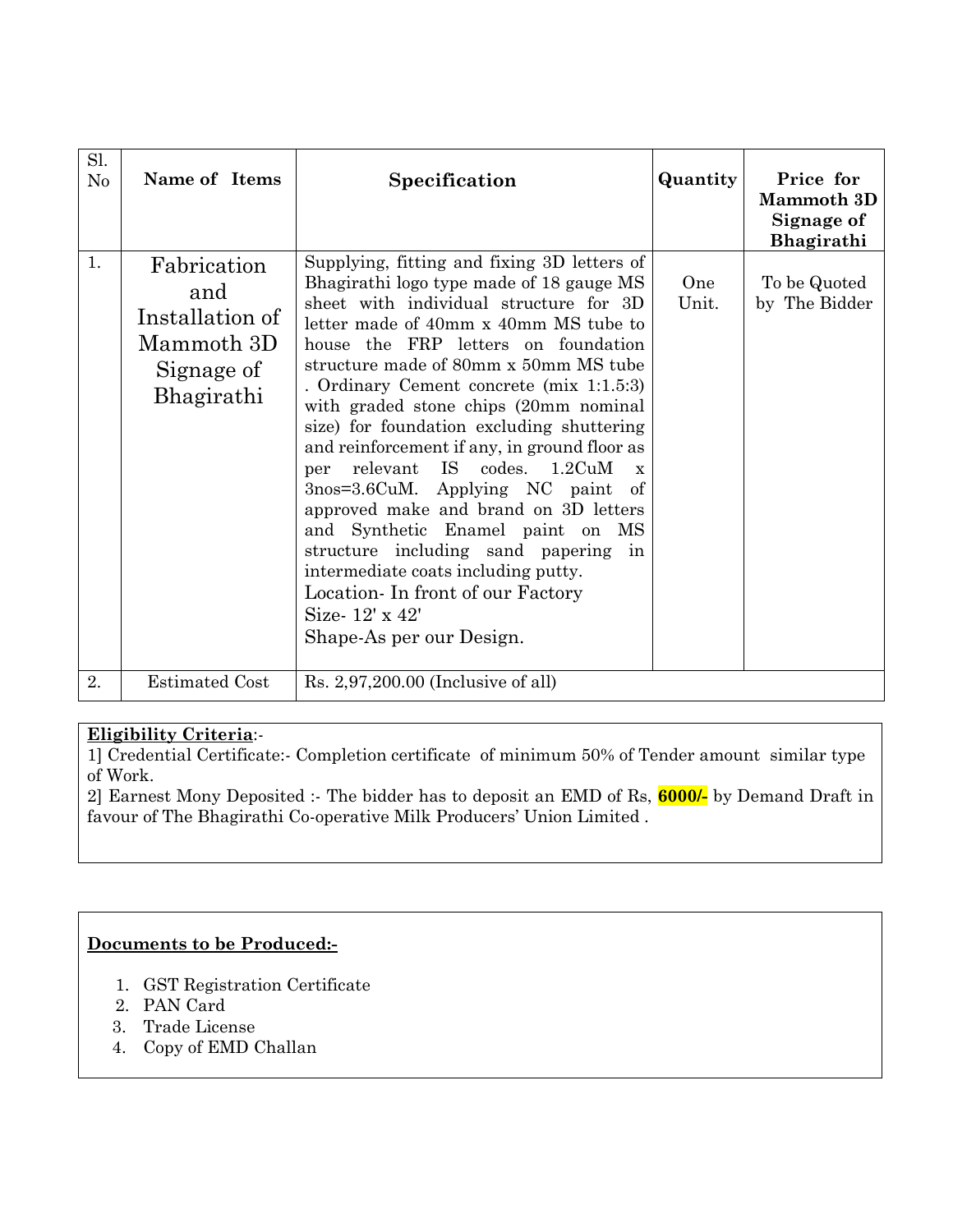| Sl.<br>N <sub>o</sub> | Name of Items                                                                   | Specification                                                                                                                                                                                                                                                                                                                                                                                                                                                                                                                                                                                                                                                                                                                                                                                | Quantity     | Price for<br><b>Mammoth</b> 3D<br>Signage of<br>Bhagirathi |
|-----------------------|---------------------------------------------------------------------------------|----------------------------------------------------------------------------------------------------------------------------------------------------------------------------------------------------------------------------------------------------------------------------------------------------------------------------------------------------------------------------------------------------------------------------------------------------------------------------------------------------------------------------------------------------------------------------------------------------------------------------------------------------------------------------------------------------------------------------------------------------------------------------------------------|--------------|------------------------------------------------------------|
| 1.                    | Fabrication<br>and<br>Installation of<br>Mammoth 3D<br>Signage of<br>Bhagirathi | Supplying, fitting and fixing 3D letters of<br>Bhagirathi logo type made of 18 gauge MS<br>sheet with individual structure for 3D<br>letter made of 40mm x 40mm MS tube to<br>house the FRP letters on foundation<br>structure made of 80mm x 50mm MS tube<br>. Ordinary Cement concrete (mix 1:1.5:3)<br>with graded stone chips (20mm nominal<br>size) for foundation excluding shuttering<br>and reinforcement if any, in ground floor as<br>relevant IS codes. 1.2CuM<br>per<br>$\mathbf{x}$<br>3nos=3.6CuM. Applying NC paint<br>-of<br>approved make and brand on 3D letters<br>and Synthetic Enamel paint on MS<br>structure including sand papering<br>in<br>intermediate coats including putty.<br>Location - In front of our Factory<br>Size-12' x 42'<br>Shape-As per our Design. | One<br>Unit. | To be Quoted<br>by The Bidder                              |
| 2.                    | <b>Estimated Cost</b>                                                           | $Rs. 2,97,200.00$ (Inclusive of all)                                                                                                                                                                                                                                                                                                                                                                                                                                                                                                                                                                                                                                                                                                                                                         |              |                                                            |

## **Eligibility Criteria**:-

1] Credential Certificate:- Completion certificate of minimum 50% of Tender amount similar type of Work.

2] Earnest Mony Deposited :- The bidder has to deposit an EMD of Rs, **6000/-** by Demand Draft in favour of The Bhagirathi Co-operative Milk Producers' Union Limited .

## **Documents to be Produced:-**

- 1. GST Registration Certificate
- 2. PAN Card
- 3. Trade License
- 4. Copy of EMD Challan